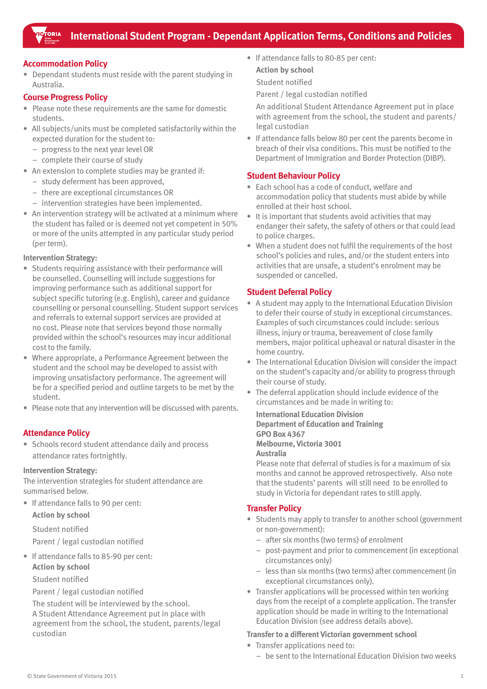# **Accommodation Policy**

• Dependant students must reside with the parent studying in Australia.

## **Course Progress Policy**

- Please note these requirements are the same for domestic students.
- • All subjects/units must be completed satisfactorily within the expected duration for the student to:
	- – progress to the next year level OR
	- complete their course of study
- An extension to complete studies may be granted if:
	- study deferment has been approved,
	- there are exceptional circumstances OR
	- intervention strategies have been implemented.
- An intervention strategy will be activated at a minimum where the student has failed or is deemed not yet competent in 50% or more of the units attempted in any particular study period (per term).

## **Intervention Strategy:**

- Students requiring assistance with their performance will be counselled. Counselling will include suggestions for improving performance such as additional support for subject specific tutoring (e.g. English), career and guidance counselling or personal counselling. Student support services and referrals to external support services are provided at no cost. Please note that services beyond those normally provided within the school's resources may incur additional cost to the family.
- Where appropriate, a Performance Agreement between the student and the school may be developed to assist with improving unsatisfactory performance. The agreement will be for a specified period and outline targets to be met by the student.
- Please note that any intervention will be discussed with parents.

# **Attendance Policy**

• Schools record student attendance daily and process attendance rates fortnightly.

## **Intervention Strategy:**

The intervention strategies for student attendance are summarised below.

• If attendance falls to 90 per cent: **Action by school**

Student notified

Parent / legal custodian notified

• If attendance falls to 85-90 per cent: **Action by school**

Student notified

# Parent / legal custodian notified

The student will be interviewed by the school. A Student Attendance Agreement put in place with agreement from the school, the student, parents/legal custodian

• If attendance falls to 80-85 per cent: **Action by school** Student notified

Parent / legal custodian notified

An additional Student Attendance Agreement put in place with agreement from the school, the student and parents/ legal custodian

• If attendance falls below 80 per cent the parents become in breach of their visa conditions. This must be notified to the Department of Immigration and Border Protection (DIBP).

# **Student Behaviour Policy**

- • Each school has a code of conduct, welfare and accommodation policy that students must abide by while enrolled at their host school.
- It is important that students avoid activities that may endanger their safety, the safety of others or that could lead to police charges.
- When a student does not fulfil the requirements of the host school's policies and rules, and/or the student enters into activities that are unsafe, a student's enrolment may be suspended or cancelled.

# **Student Deferral Policy**

- A student may apply to the International Education Division to defer their course of study in exceptional circumstances. Examples of such circumstances could include: serious illness, injury or trauma, bereavement of close family members, major political upheaval or natural disaster in the home country.
- The International Education Division will consider the impact on the student's capacity and/or ability to progress through their course of study.
- The deferral application should include evidence of the circumstances and be made in writing to:

# **International Education Division Department of Education and Training GPO Box 4367 Melbourne, Victoria 3001 Australia**

Please note that deferral of studies is for a maximum of six months and cannot be approved retrospectively. Also note that the students' parents will still need to be enrolled to study in Victoria for dependant rates to still apply.

# **Transfer Policy**

- Students may apply to transfer to another school (government or non-government):
	- – after six months (two terms) of enrolment
	- post-payment and prior to commencement (in exceptional circumstances only)
	- – less than six months (two terms) after commencement (in exceptional circumstances only).
- Transfer applications will be processed within ten working days from the receipt of a complete application. The transfer application should be made in writing to the International Education Division (see address details above).

## **Transfer to a different Victorian government school**

- Transfer applications need to:
	- be sent to the International Education Division two weeks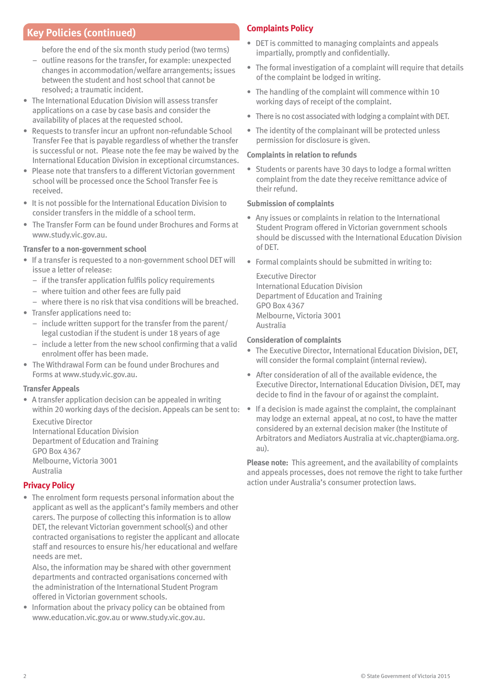# **Key Policies (continued) Complaints Policy**

before the end of the six month study period (two terms)

- – outline reasons for the transfer, for example: unexpected changes in accommodation/welfare arrangements; issues between the student and host school that cannot be resolved; a traumatic incident.
- The International Education Division will assess transfer applications on a case by case basis and consider the availability of places at the requested school.
- Requests to transfer incur an upfront non-refundable School Transfer Fee that is payable regardless of whether the transfer is successful or not. Please note the fee may be waived by the International Education Division in exceptional circumstances.
- Please note that transfers to a different Victorian government school will be processed once the School Transfer Fee is received.
- It is not possible for the International Education Division to consider transfers in the middle of a school term.
- The Transfer Form can be found under Brochures and Forms at www.study.vic.gov.au.

## **Transfer to a non-government school**

- If a transfer is requested to a non-government school DET will issue a letter of release:
	- if the transfer application fulfils policy requirements
	- – where tuition and other fees are fully paid
	- where there is no risk that visa conditions will be breached.
- Transfer applications need to:
	- $-$  include written support for the transfer from the parent/ legal custodian if the student is under 18 years of age
	- include a letter from the new school confirming that a valid enrolment offer has been made.
- The Withdrawal Form can be found under Brochures and Forms at www.study.vic.gov.au.

## **Transfer Appeals**

• A transfer application decision can be appealed in writing within 20 working days of the decision. Appeals can be sent to:

Executive Director International Education Division Department of Education and Training GPO Box 4367 Melbourne, Victoria 3001 Australia

# **Privacy Policy**

• The enrolment form requests personal information about the applicant as well as the applicant's family members and other carers. The purpose of collecting this information is to allow DET, the relevant Victorian government school(s) and other contracted organisations to register the applicant and allocate staff and resources to ensure his/her educational and welfare needs are met.

Also, the information may be shared with other government departments and contracted organisations concerned with the administration of the International Student Program offered in Victorian government schools.

• Information about the privacy policy can be obtained from www.education.vic.gov.au or www.study.vic.gov.au.

- DET is committed to managing complaints and appeals impartially, promptly and confidentially.
- The formal investigation of a complaint will require that details of the complaint be lodged in writing.
- The handling of the complaint will commence within 10 working days of receipt of the complaint.
- There is no cost associated with lodging a complaint with DET.
- The identity of the complainant will be protected unless permission for disclosure is given.

## **Complaints in relation to refunds**

• Students or parents have 30 days to lodge a formal written complaint from the date they receive remittance advice of their refund.

## **Submission of complaints**

- Any issues or complaints in relation to the International Student Program offered in Victorian government schools should be discussed with the International Education Division of DET.
- Formal complaints should be submitted in writing to:

Executive Director International Education Division Department of Education and Training GPO Box 4367 Melbourne, Victoria 3001 Australia

## **Consideration of complaints**

- The Executive Director, International Education Division, DET, will consider the formal complaint (internal review).
- After consideration of all of the available evidence, the Executive Director, International Education Division, DET, may decide to find in the favour of or against the complaint.
- If a decision is made against the complaint, the complainant may lodge an external appeal, at no cost, to have the matter considered by an external decision maker (the Institute of Arbitrators and Mediators Australia at vic.chapter@iama.org. au).

**Please note:** This agreement, and the availability of complaints and appeals processes, does not remove the right to take further action under Australia's consumer protection laws.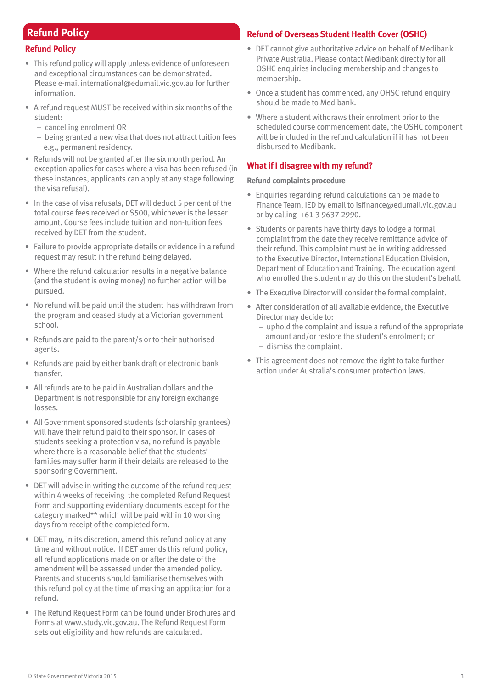# **Refund Policy**

## **Refund Policy**

- This refund policy will apply unless evidence of unforeseen and exceptional circumstances can be demonstrated. Please e-mail international@edumail.vic.gov.au for further information.
- A refund request MUST be received within six months of the student:
	- cancelling enrolment OR
	- being granted a new visa that does not attract tuition fees e.g., permanent residency.
- Refunds will not be granted after the six month period. An exception applies for cases where a visa has been refused (in these instances, applicants can apply at any stage following the visa refusal).
- In the case of visa refusals, DET will deduct 5 per cent of the total course fees received or \$500, whichever is the lesser amount. Course fees include tuition and non-tuition fees received by DET from the student.
- Failure to provide appropriate details or evidence in a refund request may result in the refund being delayed.
- Where the refund calculation results in a negative balance (and the student is owing money) no further action will be pursued.
- No refund will be paid until the student has withdrawn from the program and ceased study at a Victorian government school.
- Refunds are paid to the parent/s or to their authorised agents.
- Refunds are paid by either bank draft or electronic bank transfer.
- All refunds are to be paid in Australian dollars and the Department is not responsible for any foreign exchange losses.
- All Government sponsored students (scholarship grantees) will have their refund paid to their sponsor. In cases of students seeking a protection visa, no refund is payable where there is a reasonable belief that the students' families may suffer harm if their details are released to the sponsoring Government.
- DET will advise in writing the outcome of the refund request within 4 weeks of receiving the completed Refund Request Form and supporting evidentiary documents except for the category marked\*\* which will be paid within 10 working days from receipt of the completed form.
- DET may, in its discretion, amend this refund policy at any time and without notice. If DET amends this refund policy, all refund applications made on or after the date of the amendment will be assessed under the amended policy. Parents and students should familiarise themselves with this refund policy at the time of making an application for a refund.
- The Refund Request Form can be found under Brochures and Forms at www.study.vic.gov.au. The Refund Request Form sets out eligibility and how refunds are calculated.

# **Refund of Overseas Student Health Cover (OSHC)**

- • DET cannot give authoritative advice on behalf of Medibank Private Australia. Please contact Medibank directly for all OSHC enquiries including membership and changes to membership.
- Once a student has commenced, any OHSC refund enquiry should be made to Medibank.
- Where a student withdraws their enrolment prior to the scheduled course commencement date, the OSHC component will be included in the refund calculation if it has not been disbursed to Medibank.

# **What if I disagree with my refund?**

## **Refund complaints procedure**

- Enquiries regarding refund calculations can be made to Finance Team, IED by email to isfinance@edumail.vic.gov.au or by calling +61 3 9637 2990.
- Students or parents have thirty days to lodge a formal complaint from the date they receive remittance advice of their refund. This complaint must be in writing addressed to the Executive Director, International Education Division, Department of Education and Training. The education agent who enrolled the student may do this on the student's behalf.
- The Executive Director will consider the formal complaint.
- After consideration of all available evidence, the Executive Director may decide to:
	- uphold the complaint and issue a refund of the appropriate amount and/or restore the student's enrolment; or – dismiss the complaint.
- This agreement does not remove the right to take further action under Australia's consumer protection laws.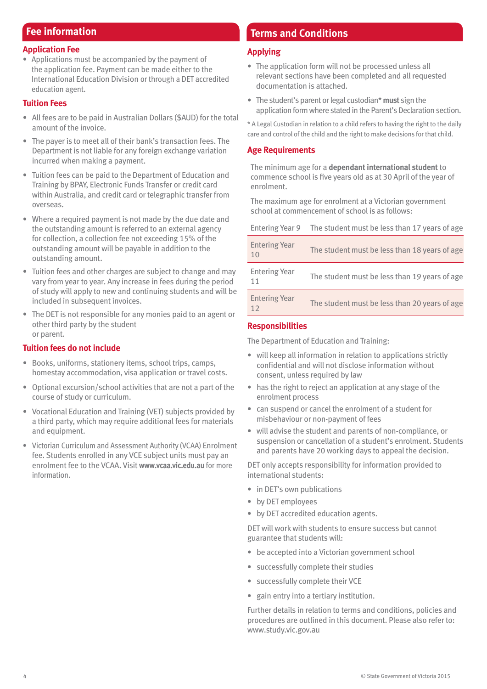# **Fee information**

# **Application Fee**

• Applications must be accompanied by the payment of the application fee. Payment can be made either to the International Education Division or through a DET accredited education agent.

# **Tuition Fees**

- All fees are to be paid in Australian Dollars (\$AUD) for the total amount of the invoice.
- The payer is to meet all of their bank's transaction fees. The Department is not liable for any foreign exchange variation incurred when making a payment.
- Tuition fees can be paid to the Department of Education and Training by BPAY, Electronic Funds Transfer or credit card within Australia, and credit card or telegraphic transfer from overseas.
- Where a required payment is not made by the due date and the outstanding amount is referred to an external agency for collection, a collection fee not exceeding 15% of the outstanding amount will be payable in addition to the outstanding amount.
- Tuition fees and other charges are subject to change and may vary from year to year. Any increase in fees during the period of study will apply to new and continuing students and will be included in subsequent invoices.
- The DET is not responsible for any monies paid to an agent or other third party by the student or parent.

# **Tuition fees do not include**

- • Books, uniforms, stationery items, school trips, camps, homestay accommodation, visa application or travel costs.
- Optional excursion/school activities that are not a part of the course of study or curriculum.
- Vocational Education and Training (VET) subjects provided by a third party, which may require additional fees for materials and equipment.
- • Victorian Curriculum and Assessment Authority (VCAA) Enrolment fee. Students enrolled in any VCE subject units must pay an enrolment fee to the VCAA. Visit **www.vcaa.vic.edu.au** for more information.

# **Terms and Conditions**

# **Applying**

- The application form will not be processed unless all relevant sections have been completed and all requested documentation is attached.
- The student's parent or legal custodian\* **must** sign the application form where stated in the Parent's Declaration section.

\* A Legal Custodian in relation to a child refers to having the right to the daily care and control of the child and the right to make decisions for that child.

# **Age Requirements**

The minimum age for a **dependant international student** to commence school is five years old as at 30 April of the year of enrolment.

The maximum age for enrolment at a Victorian government school at commencement of school is as follows:

| Entering Year 9            | The student must be less than 17 years of age |
|----------------------------|-----------------------------------------------|
| <b>Entering Year</b><br>10 | The student must be less than 18 years of age |
| <b>Entering Year</b><br>11 | The student must be less than 19 years of age |
| <b>Entering Year</b><br>12 | The student must be less than 20 years of age |

# **Responsibilities**

The Department of Education and Training:

- will keep all information in relation to applications strictly confidential and will not disclose information without consent, unless required by law
- has the right to reject an application at any stage of the enrolment process
- • can suspend or cancel the enrolment of a student for misbehaviour or non-payment of fees
- will advise the student and parents of non-compliance, or suspension or cancellation of a student's enrolment. Students and parents have 20 working days to appeal the decision.

DET only accepts responsibility for information provided to international students:

- in DET's own publications
- • by DET employees
- • by DET accredited education agents.

DET will workwith students to ensure success but cannot guarantee that students will:

- be accepted into a Victorian government school
- • successfully complete their studies
- successfully complete their VCE
- gain entry into a tertiary institution.

Further details in relation to terms and conditions, policies and procedures are outlined in this document. Please also refer to: www.study.vic.gov.au